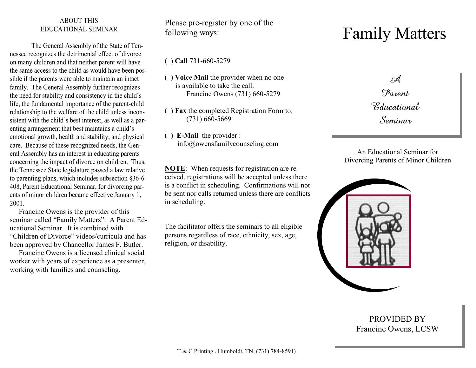#### ABOUT THIS EDUCATIONAL SEMINAR

The General Assembly of the State of Tennessee recognizes the detrimental effect of divorce on many children and that neither parent will have the same access to the child as would have been possible if the parents were able to maintain an intact family. The General Assembly further recognizes the need for stability and consistency in the child's life, the fundamental importance of the parent-child relationship to the welfare of the child unless inconsistent with the child's best interest, as well as a parenting arrangement that best maintains a child's emotional growth, health and stability, and physical care. Because of these recognized needs, the General Assembly has an interest in educating parents concerning the impact of divorce on children. Thus, the Tennessee State legislature passed a law relative to parenting plans, which includes subsection §36-6- 408, Parent Educational Seminar, for divorcing parents of minor children became effective January 1, 2001.

 Francine Owens is the provider of this seminar called "Family Matters": A Parent Educational Seminar. It is combined with "Children of Divorce" videos/curricula and has been approved by Chancellor James F. Butler.

 Francine Owens is a licensed clinical social worker with years of experience as a presenter, working with families and counseling.

Please pre-register by one of the following ways:

( ) **Call** 731-660-5279

- ( ) **Voice Mail** the provider when no one is available to take the call. Francine Owens (731) 660-5279
- ( ) **Fax** the completed Registration Form to: (731) 660-5669
- ( ) **E-Mail** the provider : info@owensfamilycounseling.com

**NOTE**: When requests for registration are received, registrations will be accepted unless there is a conflict in scheduling. Confirmations will not be sent nor calls returned unless there are conflicts in scheduling.

The facilitator offers the seminars to all eligible persons regardless of race, ethnicity, sex, age, religion, or disability.

# Family Matters

 $\mathbb{R}$ Parent *Educational* Seminar

An Educational Seminar for Divorcing Parents of Minor Children



PROVIDED BY Francine Owens, LCSW